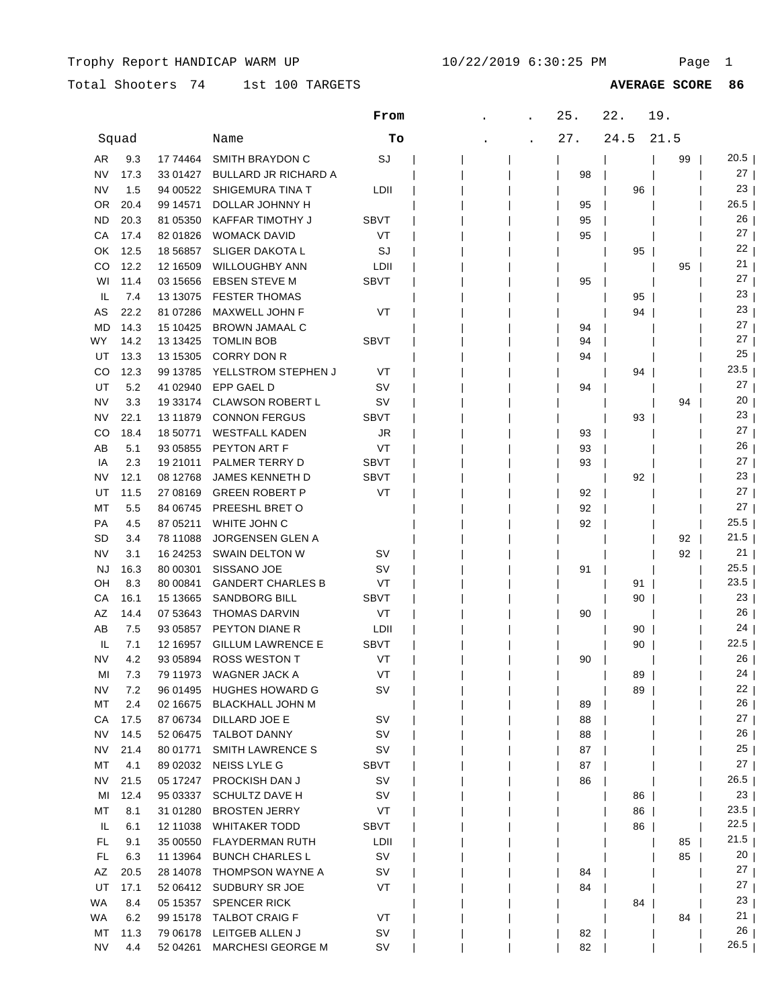# Total Shooters 74 1st 100 TARGETS **AVERAGE SCORE 86**

|           |       |            |                             | From        |  | 25. | 22.  | 19.  |                 |  |
|-----------|-------|------------|-----------------------------|-------------|--|-----|------|------|-----------------|--|
|           | Squad |            | Name                        | Tо          |  | 27. | 24.5 | 21.5 |                 |  |
| AR        | 9.3   | 17 74464   | <b>SMITH BRAYDON C</b>      | SJ          |  |     |      | 99   | 20.5            |  |
| NV        | 17.3  | 33 01427   | <b>BULLARD JR RICHARD A</b> |             |  | 98  |      |      | 27              |  |
| NV        | 1.5   | 94 00522   | SHIGEMURA TINA T            | LDII        |  |     | 96   |      | 23              |  |
| 0R        | 20.4  | 99 14571   | DOLLAR JOHNNY H             |             |  | 95  |      |      | 26.5            |  |
| <b>ND</b> | 20.3  | 81 05350   | KAFFAR TIMOTHY J            | <b>SBVT</b> |  | 95  |      |      | 26              |  |
| CА        | 17.4  | 82 01826   | <b>WOMACK DAVID</b>         | VT          |  | 95  |      |      | 27              |  |
| ОK        | 12.5  | 18 5 68 57 | <b>SLIGER DAKOTA L</b>      | SJ          |  |     | 95   |      | 22              |  |
| CO        | 12.2  | 12 16509   | <b>WILLOUGHBY ANN</b>       | LDII        |  |     |      | 95   | 21              |  |
| WI        | 11.4  | 03 15656   | <b>EBSEN STEVE M</b>        | <b>SBVT</b> |  | 95  |      |      | 27              |  |
| IL        | 7.4   | 13 13 075  | <b>FESTER THOMAS</b>        |             |  |     | 95   |      | 23              |  |
| AS        | 22.2  | 81 07286   | MAXWELL JOHN F              | VT          |  |     | 94   |      | 23              |  |
| MD        | 14.3  | 15 10425   | <b>BROWN JAMAAL C</b>       |             |  | 94  |      |      | 27              |  |
| WY        | 14.2  | 13 13 425  | <b>TOMLIN BOB</b>           | <b>SBVT</b> |  | 94  |      |      | 27              |  |
| UT        | 13.3  | 13 15305   | <b>CORRY DON R</b>          |             |  | 94  |      |      | 25              |  |
| CO        | 12.3  | 99 13785   | YELLSTROM STEPHEN J         | VT          |  |     | 94   |      | 23.5            |  |
| UT        | 5.2   | 41 02940   | EPP GAEL D                  | S٧          |  | 94  |      |      | 27              |  |
| NV        | 3.3   | 19 33174   | <b>CLAWSON ROBERT L</b>     | sv          |  |     |      | 94   | 20              |  |
| NV        | 22.1  | 13 11 879  | <b>CONNON FERGUS</b>        | <b>SBVT</b> |  |     | 93   |      | 23              |  |
| CO        | 18.4  | 18 50771   | <b>WESTFALL KADEN</b>       | JR          |  | 93  |      |      | 27              |  |
| AB        | 5.1   | 93 05855   | PEYTON ART F                | VT          |  | 93  |      |      | 26              |  |
| IA        | 2.3   | 19 21011   | PALMER TERRY D              | <b>SBVT</b> |  | 93  |      |      | 27              |  |
| NV        | 12.1  | 08 12768   | <b>JAMES KENNETH D</b>      | <b>SBVT</b> |  |     | 92   |      | 23              |  |
| UT        | 11.5  | 27 08169   | <b>GREEN ROBERT P</b>       | VT          |  | 92  |      |      | $27 \mid$       |  |
| МT        | 5.5   | 84 06745   | PREESHL BRET O              |             |  | 92  |      |      | $27 \mid$       |  |
| PA        | 4.5   | 87 05211   | WHITE JOHN C                |             |  | 92  |      |      | 25.5            |  |
| SD        | 3.4   | 78 11088   | <b>JORGENSEN GLEN A</b>     |             |  |     |      | 92   | 21.5            |  |
| NV        | 3.1   | 16 24 25 3 | SWAIN DELTON W              | sv          |  |     |      | 92   | 21              |  |
| NJ        | 16.3  | 80 00301   | SISSANO JOE                 | S٧          |  | 91  |      |      | 25.5            |  |
| OH        | 8.3   | 80 00841   | <b>GANDERT CHARLES B</b>    | VT          |  |     | 91   |      | 23.5            |  |
| СA        | 16.1  | 15 13665   | <b>SANDBORG BILL</b>        | SBVT        |  |     | 90   |      | 23              |  |
| AZ        | 14.4  | 07 53643   | <b>THOMAS DARVIN</b>        | VT          |  | 90  |      |      | 26              |  |
| AB        | 7.5   | 93 05857   | <b>PEYTON DIANE R</b>       | LDII        |  |     | 90   |      | 24              |  |
| IL        | 7.1   | 12 16957   | <b>GILLUM LAWRENCE E</b>    | SBVT        |  |     | 90   |      | 22.5            |  |
| NV        | 4.2   | 93 05894   | <b>ROSS WESTON T</b>        | VT          |  | 90  |      |      | 26              |  |
| MI        | 7.3   | 79 11973   | <b>WAGNER JACK A</b>        | VT          |  |     | 89   |      | 24              |  |
| NV        | 7.2   | 96 01495   | <b>HUGHES HOWARD G</b>      | <b>SV</b>   |  |     | 89   |      | 22              |  |
| МT        | 2.4   | 02 16675   | <b>BLACKHALL JOHN M</b>     |             |  | 89  |      |      | 26              |  |
| СA        | 17.5  | 87 06734   | DILLARD JOE E               | <b>SV</b>   |  | 88  |      |      | 27              |  |
| NV.       | 14.5  | 52 06475   | <b>TALBOT DANNY</b>         | SV          |  | 88  |      |      | $26 \mid$       |  |
| <b>NV</b> | 21.4  | 80 01771   | <b>SMITH LAWRENCE S</b>     | sv          |  | 87  |      |      | 25              |  |
| МT        | 4.1   | 89 02032   | NEISS LYLE G                | SBVT        |  | 87  |      |      | $27 \mid$       |  |
| NV        | 21.5  | 05 17247   | PROCKISH DAN J              | <b>SV</b>   |  | 86  |      |      | 26.5            |  |
| MI        | 12.4  | 95 03337   | <b>SCHULTZ DAVE H</b>       | <b>SV</b>   |  |     | 86   |      | 23              |  |
| МT        | 8.1   | 31 01280   | <b>BROSTEN JERRY</b>        | VT          |  |     | 86   |      | $23.5$          |  |
| IL.       | 6.1   | 12 11038   | <b>WHITAKER TODD</b>        | SBVT        |  |     | 86   |      | 22.5            |  |
| FL.       | 9.1   | 35 00550   | <b>FLAYDERMAN RUTH</b>      | LDII        |  |     |      | 85   | 21.5            |  |
| FL.       | 6.3   | 11 13964   | <b>BUNCH CHARLES L</b>      | <b>SV</b>   |  |     |      | 85   | 20              |  |
| AZ        | 20.5  | 28 14078   | THOMPSON WAYNE A            | sv          |  | 84  |      |      | 27 <sub>1</sub> |  |
| UT        | 17.1  | 52 06412   | SUDBURY SR JOE              | VT          |  | 84  |      |      | 27 <sub>1</sub> |  |
| WA        | 8.4   | 05 15357   | <b>SPENCER RICK</b>         |             |  |     | 84   |      | 23 <sub>1</sub> |  |
| WA.       | 6.2   | 99 15178   | <b>TALBOT CRAIG F</b>       | VT          |  |     |      | 84   | 21              |  |
| МT        | 11.3  | 79 06178   | LEITGEB ALLEN J             | sv          |  | 82  |      |      | 26              |  |
| NV        | 4.4   | 52 04261   | <b>MARCHESI GEORGE M</b>    | <b>SV</b>   |  | 82  |      |      | 26.5            |  |